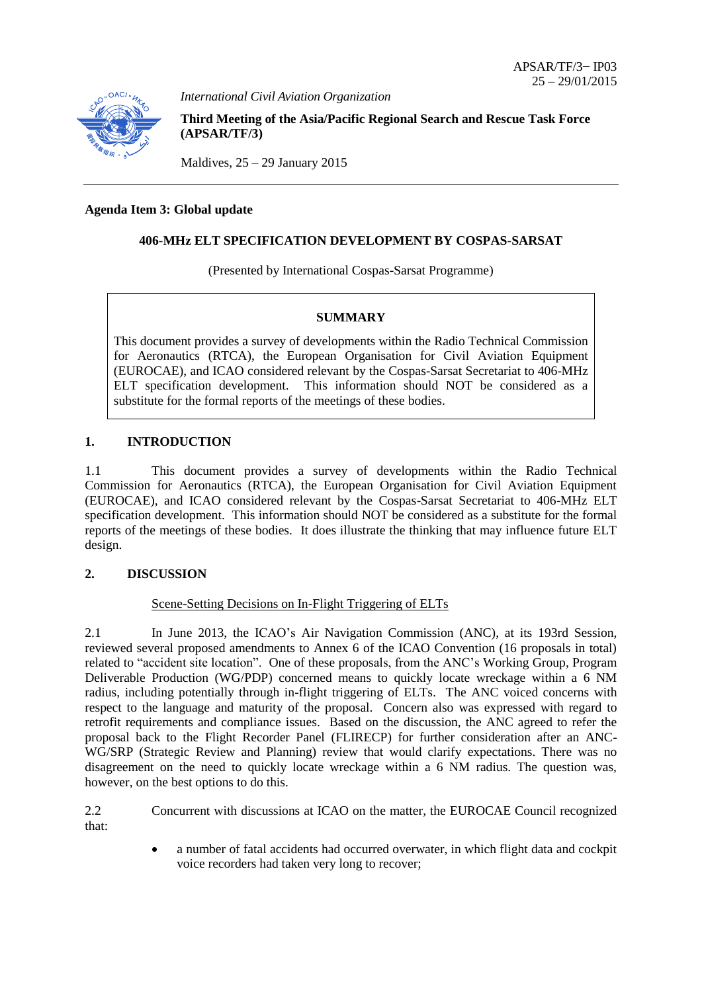

*International Civil Aviation Organization*

**Third Meeting of the Asia/Pacific Regional Search and Rescue Task Force (APSAR/TF/3)**

Maldives,  $25 - 29$  January 2015

### **Agenda Item 3: Global update**

## **406-MHz ELT SPECIFICATION DEVELOPMENT BY COSPAS-SARSAT**

(Presented by International Cospas-Sarsat Programme)

#### **SUMMARY**

This document provides a survey of developments within the Radio Technical Commission for Aeronautics (RTCA), the European Organisation for Civil Aviation Equipment (EUROCAE), and ICAO considered relevant by the Cospas-Sarsat Secretariat to 406-MHz ELT specification development. This information should NOT be considered as a substitute for the formal reports of the meetings of these bodies.

#### **1. INTRODUCTION**

1.1 This document provides a survey of developments within the Radio Technical Commission for Aeronautics (RTCA), the European Organisation for Civil Aviation Equipment (EUROCAE), and ICAO considered relevant by the Cospas-Sarsat Secretariat to 406-MHz ELT specification development. This information should NOT be considered as a substitute for the formal reports of the meetings of these bodies. It does illustrate the thinking that may influence future ELT design.

# **2. DISCUSSION**

#### Scene-Setting Decisions on In-Flight Triggering of ELTs

2.1 In June 2013, the ICAO's Air Navigation Commission (ANC), at its 193rd Session, reviewed several proposed amendments to Annex 6 of the ICAO Convention (16 proposals in total) related to "accident site location". One of these proposals, from the ANC's Working Group, Program Deliverable Production (WG/PDP) concerned means to quickly locate wreckage within a 6 NM radius, including potentially through in-flight triggering of ELTs. The ANC voiced concerns with respect to the language and maturity of the proposal. Concern also was expressed with regard to retrofit requirements and compliance issues. Based on the discussion, the ANC agreed to refer the proposal back to the Flight Recorder Panel (FLIRECP) for further consideration after an ANC-WG/SRP (Strategic Review and Planning) review that would clarify expectations. There was no disagreement on the need to quickly locate wreckage within a 6 NM radius. The question was, however, on the best options to do this.

2.2 Concurrent with discussions at ICAO on the matter, the EUROCAE Council recognized that:

> a number of fatal accidents had occurred overwater, in which flight data and cockpit voice recorders had taken very long to recover;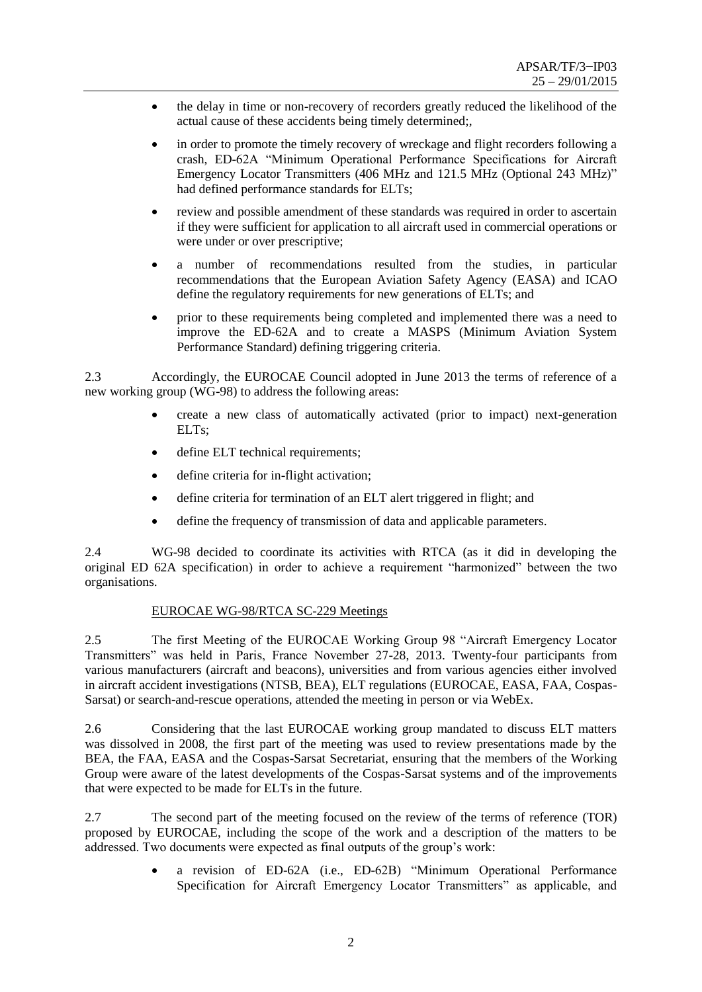- the delay in time or non-recovery of recorders greatly reduced the likelihood of the actual cause of these accidents being timely determined;,
- in order to promote the timely recovery of wreckage and flight recorders following a crash, ED-62A "Minimum Operational Performance Specifications for Aircraft Emergency Locator Transmitters (406 MHz and 121.5 MHz (Optional 243 MHz)" had defined performance standards for ELTs;
- review and possible amendment of these standards was required in order to ascertain if they were sufficient for application to all aircraft used in commercial operations or were under or over prescriptive;
- a number of recommendations resulted from the studies, in particular recommendations that the European Aviation Safety Agency (EASA) and ICAO define the regulatory requirements for new generations of ELTs; and
- prior to these requirements being completed and implemented there was a need to improve the ED-62A and to create a MASPS (Minimum Aviation System Performance Standard) defining triggering criteria.

2.3 Accordingly, the EUROCAE Council adopted in June 2013 the terms of reference of a new working group (WG-98) to address the following areas:

- create a new class of automatically activated (prior to impact) next-generation ELT<sub>s</sub>:
- define ELT technical requirements;
- define criteria for in-flight activation;
- define criteria for termination of an ELT alert triggered in flight; and
- define the frequency of transmission of data and applicable parameters.

2.4 WG-98 decided to coordinate its activities with RTCA (as it did in developing the original ED 62A specification) in order to achieve a requirement "harmonized" between the two organisations.

## EUROCAE WG-98/RTCA SC-229 Meetings

2.5 The first Meeting of the EUROCAE Working Group 98 "Aircraft Emergency Locator Transmitters" was held in Paris, France November 27-28, 2013. Twenty-four participants from various manufacturers (aircraft and beacons), universities and from various agencies either involved in aircraft accident investigations (NTSB, BEA), ELT regulations (EUROCAE, EASA, FAA, Cospas-Sarsat) or search-and-rescue operations, attended the meeting in person or via WebEx.

2.6 Considering that the last EUROCAE working group mandated to discuss ELT matters was dissolved in 2008, the first part of the meeting was used to review presentations made by the BEA, the FAA, EASA and the Cospas-Sarsat Secretariat, ensuring that the members of the Working Group were aware of the latest developments of the Cospas-Sarsat systems and of the improvements that were expected to be made for ELTs in the future.

2.7 The second part of the meeting focused on the review of the terms of reference (TOR) proposed by EUROCAE, including the scope of the work and a description of the matters to be addressed. Two documents were expected as final outputs of the group's work:

> a revision of ED-62A (i.e., ED-62B) "Minimum Operational Performance Specification for Aircraft Emergency Locator Transmitters" as applicable, and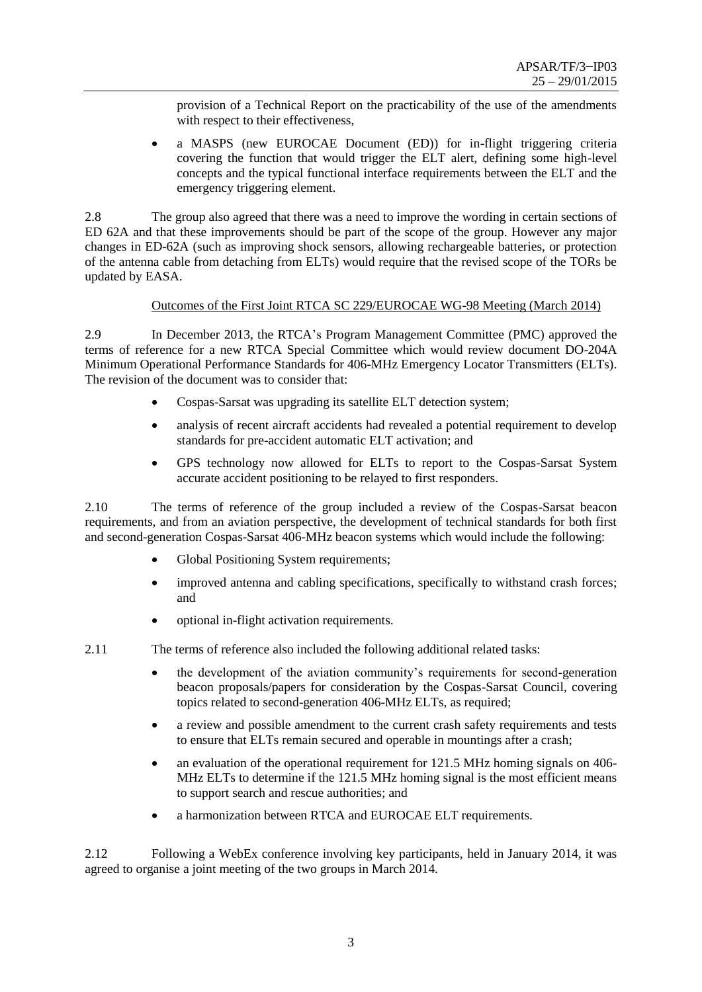provision of a Technical Report on the practicability of the use of the amendments with respect to their effectiveness,

 a MASPS (new EUROCAE Document (ED)) for in-flight triggering criteria covering the function that would trigger the ELT alert, defining some high-level concepts and the typical functional interface requirements between the ELT and the emergency triggering element.

2.8 The group also agreed that there was a need to improve the wording in certain sections of ED 62A and that these improvements should be part of the scope of the group. However any major changes in ED-62A (such as improving shock sensors, allowing rechargeable batteries, or protection of the antenna cable from detaching from ELTs) would require that the revised scope of the TORs be updated by EASA.

## Outcomes of the First Joint RTCA SC 229/EUROCAE WG-98 Meeting (March 2014)

2.9 In December 2013, the RTCA's Program Management Committee (PMC) approved the terms of reference for a new RTCA Special Committee which would review document DO-204A Minimum Operational Performance Standards for 406-MHz Emergency Locator Transmitters (ELTs). The revision of the document was to consider that:

- Cospas-Sarsat was upgrading its satellite ELT detection system;
- analysis of recent aircraft accidents had revealed a potential requirement to develop standards for pre-accident automatic ELT activation; and
- GPS technology now allowed for ELTs to report to the Cospas-Sarsat System accurate accident positioning to be relayed to first responders.

2.10 The terms of reference of the group included a review of the Cospas-Sarsat beacon requirements, and from an aviation perspective, the development of technical standards for both first and second-generation Cospas-Sarsat 406-MHz beacon systems which would include the following:

- Global Positioning System requirements;
- improved antenna and cabling specifications, specifically to withstand crash forces; and
- optional in-flight activation requirements.

2.11 The terms of reference also included the following additional related tasks:

- the development of the aviation community's requirements for second-generation beacon proposals/papers for consideration by the Cospas-Sarsat Council, covering topics related to second-generation 406-MHz ELTs, as required;
- a review and possible amendment to the current crash safety requirements and tests to ensure that ELTs remain secured and operable in mountings after a crash;
- an evaluation of the operational requirement for 121.5 MHz homing signals on 406- MHz ELTs to determine if the 121.5 MHz homing signal is the most efficient means to support search and rescue authorities; and
- a harmonization between RTCA and EUROCAE ELT requirements.

2.12 Following a WebEx conference involving key participants, held in January 2014, it was agreed to organise a joint meeting of the two groups in March 2014.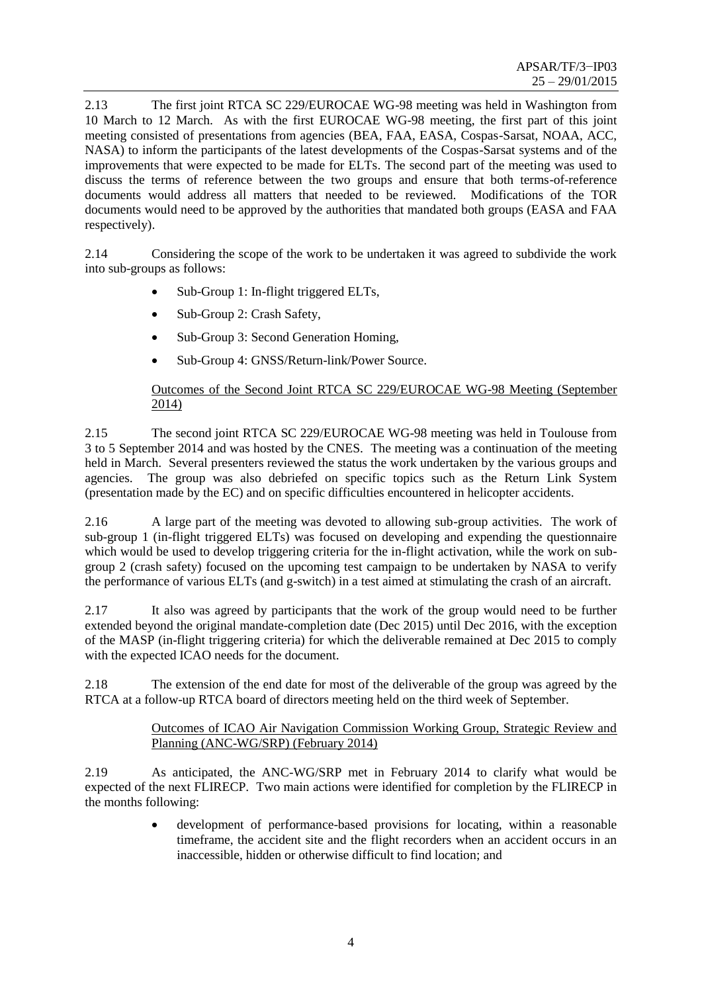2.13 The first joint RTCA SC 229/EUROCAE WG-98 meeting was held in Washington from 10 March to 12 March. As with the first EUROCAE WG-98 meeting, the first part of this joint meeting consisted of presentations from agencies (BEA, FAA, EASA, Cospas-Sarsat, NOAA, ACC, NASA) to inform the participants of the latest developments of the Cospas-Sarsat systems and of the improvements that were expected to be made for ELTs. The second part of the meeting was used to discuss the terms of reference between the two groups and ensure that both terms-of-reference documents would address all matters that needed to be reviewed. Modifications of the TOR documents would need to be approved by the authorities that mandated both groups (EASA and FAA respectively).

2.14 Considering the scope of the work to be undertaken it was agreed to subdivide the work into sub-groups as follows:

- Sub-Group 1: In-flight triggered ELTs,
- Sub-Group 2: Crash Safety,
- Sub-Group 3: Second Generation Homing,
- Sub-Group 4: GNSS/Return-link/Power Source.

# Outcomes of the Second Joint RTCA SC 229/EUROCAE WG-98 Meeting (September 2014)

2.15 The second joint RTCA SC 229/EUROCAE WG-98 meeting was held in Toulouse from 3 to 5 September 2014 and was hosted by the CNES. The meeting was a continuation of the meeting held in March. Several presenters reviewed the status the work undertaken by the various groups and agencies. The group was also debriefed on specific topics such as the Return Link System (presentation made by the EC) and on specific difficulties encountered in helicopter accidents.

2.16 A large part of the meeting was devoted to allowing sub-group activities. The work of sub-group 1 (in-flight triggered ELTs) was focused on developing and expending the questionnaire which would be used to develop triggering criteria for the in-flight activation, while the work on subgroup 2 (crash safety) focused on the upcoming test campaign to be undertaken by NASA to verify the performance of various ELTs (and g-switch) in a test aimed at stimulating the crash of an aircraft.

2.17 It also was agreed by participants that the work of the group would need to be further extended beyond the original mandate-completion date (Dec 2015) until Dec 2016, with the exception of the MASP (in-flight triggering criteria) for which the deliverable remained at Dec 2015 to comply with the expected ICAO needs for the document.

2.18 The extension of the end date for most of the deliverable of the group was agreed by the RTCA at a follow-up RTCA board of directors meeting held on the third week of September.

## Outcomes of ICAO Air Navigation Commission Working Group, Strategic Review and Planning (ANC-WG/SRP) (February 2014)

2.19 As anticipated, the ANC-WG/SRP met in February 2014 to clarify what would be expected of the next FLIRECP. Two main actions were identified for completion by the FLIRECP in the months following:

> development of performance-based provisions for locating, within a reasonable timeframe, the accident site and the flight recorders when an accident occurs in an inaccessible, hidden or otherwise difficult to find location; and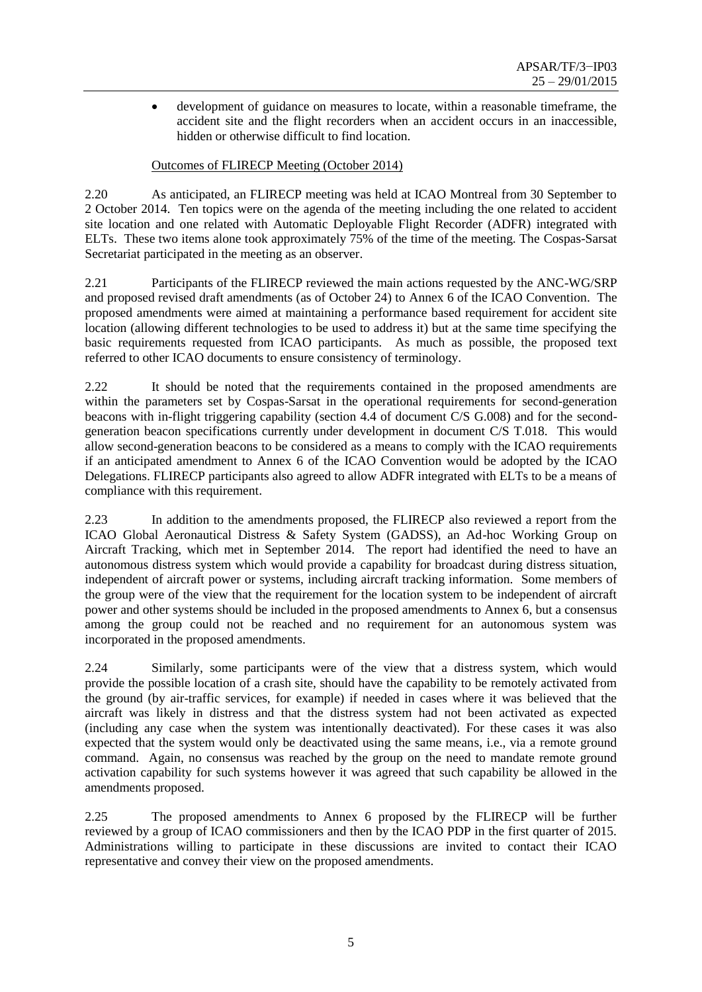development of guidance on measures to locate, within a reasonable timeframe, the accident site and the flight recorders when an accident occurs in an inaccessible, hidden or otherwise difficult to find location.

# Outcomes of FLIRECP Meeting (October 2014)

2.20 As anticipated, an FLIRECP meeting was held at ICAO Montreal from 30 September to 2 October 2014. Ten topics were on the agenda of the meeting including the one related to accident site location and one related with Automatic Deployable Flight Recorder (ADFR) integrated with ELTs. These two items alone took approximately 75% of the time of the meeting. The Cospas-Sarsat Secretariat participated in the meeting as an observer.

2.21 Participants of the FLIRECP reviewed the main actions requested by the ANC-WG/SRP and proposed revised draft amendments (as of October 24) to Annex 6 of the ICAO Convention. The proposed amendments were aimed at maintaining a performance based requirement for accident site location (allowing different technologies to be used to address it) but at the same time specifying the basic requirements requested from ICAO participants. As much as possible, the proposed text referred to other ICAO documents to ensure consistency of terminology.

2.22 It should be noted that the requirements contained in the proposed amendments are within the parameters set by Cospas-Sarsat in the operational requirements for second-generation beacons with in-flight triggering capability (section 4.4 of document C/S G.008) and for the secondgeneration beacon specifications currently under development in document C/S T.018. This would allow second-generation beacons to be considered as a means to comply with the ICAO requirements if an anticipated amendment to Annex 6 of the ICAO Convention would be adopted by the ICAO Delegations. FLIRECP participants also agreed to allow ADFR integrated with ELTs to be a means of compliance with this requirement.

2.23 In addition to the amendments proposed, the FLIRECP also reviewed a report from the ICAO Global Aeronautical Distress & Safety System (GADSS), an Ad-hoc Working Group on Aircraft Tracking, which met in September 2014. The report had identified the need to have an autonomous distress system which would provide a capability for broadcast during distress situation, independent of aircraft power or systems, including aircraft tracking information. Some members of the group were of the view that the requirement for the location system to be independent of aircraft power and other systems should be included in the proposed amendments to Annex 6, but a consensus among the group could not be reached and no requirement for an autonomous system was incorporated in the proposed amendments.

2.24 Similarly, some participants were of the view that a distress system, which would provide the possible location of a crash site, should have the capability to be remotely activated from the ground (by air-traffic services, for example) if needed in cases where it was believed that the aircraft was likely in distress and that the distress system had not been activated as expected (including any case when the system was intentionally deactivated). For these cases it was also expected that the system would only be deactivated using the same means, i.e., via a remote ground command. Again, no consensus was reached by the group on the need to mandate remote ground activation capability for such systems however it was agreed that such capability be allowed in the amendments proposed.

2.25 The proposed amendments to Annex 6 proposed by the FLIRECP will be further reviewed by a group of ICAO commissioners and then by the ICAO PDP in the first quarter of 2015. Administrations willing to participate in these discussions are invited to contact their ICAO representative and convey their view on the proposed amendments.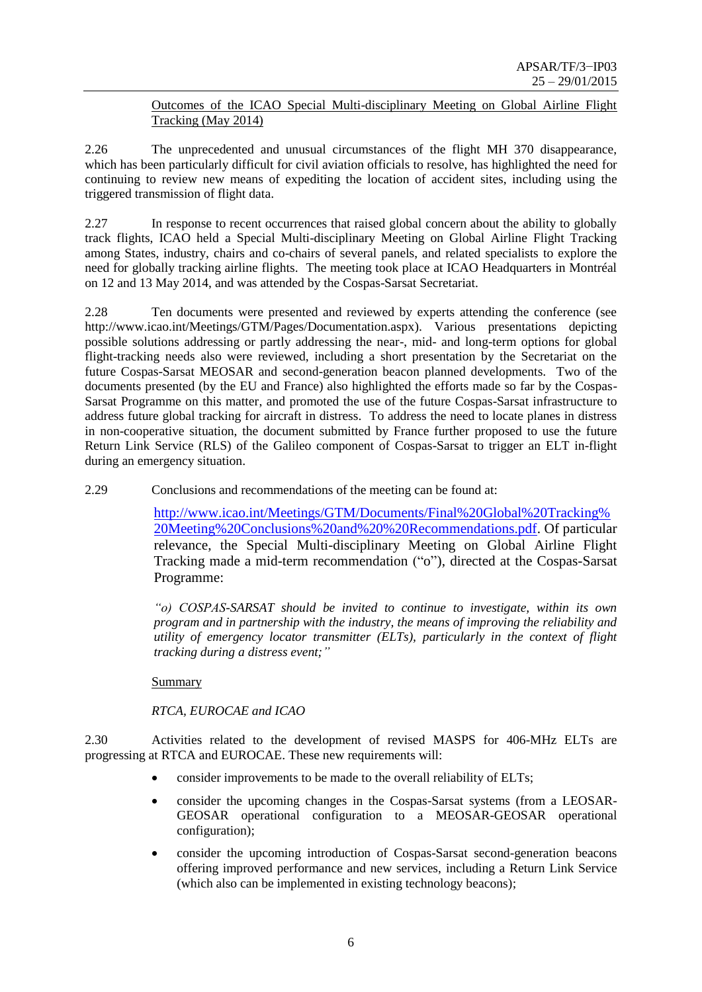# Outcomes of the ICAO Special Multi-disciplinary Meeting on Global Airline Flight Tracking (May 2014)

2.26 The unprecedented and unusual circumstances of the flight MH 370 disappearance, which has been particularly difficult for civil aviation officials to resolve, has highlighted the need for continuing to review new means of expediting the location of accident sites, including using the triggered transmission of flight data.

2.27 In response to recent occurrences that raised global concern about the ability to globally track flights, ICAO held a Special Multi-disciplinary Meeting on Global Airline Flight Tracking among States, industry, chairs and co-chairs of several panels, and related specialists to explore the need for globally tracking airline flights. The meeting took place at ICAO Headquarters in Montréal on 12 and 13 May 2014, and was attended by the Cospas-Sarsat Secretariat.

2.28 Ten documents were presented and reviewed by experts attending the conference (see [http://www.icao.int/Meetings/GTM/Pages/Documentation.aspx\)](http://www.icao.int/Meetings/GTM/Pages/Documentation.aspx). Various presentations depicting possible solutions addressing or partly addressing the near-, mid- and long-term options for global flight-tracking needs also were reviewed, including a short presentation by the Secretariat on the future Cospas-Sarsat MEOSAR and second-generation beacon planned developments. Two of the documents presented (by the EU and France) also highlighted the efforts made so far by the Cospas-Sarsat Programme on this matter, and promoted the use of the future Cospas-Sarsat infrastructure to address future global tracking for aircraft in distress. To address the need to locate planes in distress in non-cooperative situation, the document submitted by France further proposed to use the future Return Link Service (RLS) of the Galileo component of Cospas-Sarsat to trigger an ELT in-flight during an emergency situation.

2.29 Conclusions and recommendations of the meeting can be found at:

[http://www.icao.int/Meetings/GTM/Documents/Final%20Global%20Tracking%](http://www.icao.int/Meetings/GTM/Documents/Final%20Global%20Tracking%20Meeting%20Conclusions%20and%20%20Recommendations.pdf) [20Meeting%20Conclusions%20and%20%20Recommendations.pdf.](http://www.icao.int/Meetings/GTM/Documents/Final%20Global%20Tracking%20Meeting%20Conclusions%20and%20%20Recommendations.pdf) Of particular relevance, the Special Multi-disciplinary Meeting on Global Airline Flight Tracking made a mid-term recommendation ("o"), directed at the Cospas-Sarsat Programme:

*"o) COSPAS-SARSAT should be invited to continue to investigate, within its own program and in partnership with the industry, the means of improving the reliability and utility of emergency locator transmitter (ELTs), particularly in the context of flight tracking during a distress event;"*

Summary

# *RTCA, EUROCAE and ICAO*

2.30 Activities related to the development of revised MASPS for 406-MHz ELTs are progressing at RTCA and EUROCAE. These new requirements will:

- consider improvements to be made to the overall reliability of ELTs:
- consider the upcoming changes in the Cospas-Sarsat systems (from a LEOSAR-GEOSAR operational configuration to a MEOSAR-GEOSAR operational configuration);
- consider the upcoming introduction of Cospas-Sarsat second-generation beacons offering improved performance and new services, including a Return Link Service (which also can be implemented in existing technology beacons);